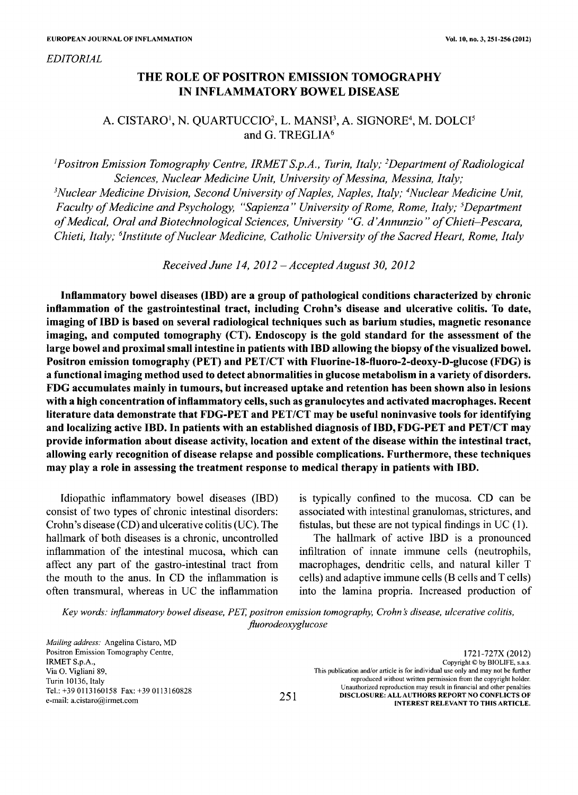*EDITORIAL*

# THE ROLE OF POSITRON EMISSION TOMOGRAPHY IN INFLAMMATORY BOWEL DISEASE

# A. CISTARO<sup>1</sup>, N. QUARTUCCIO<sup>2</sup>, L. MANSI<sup>3</sup>, A. SIGNORE<sup>4</sup>, M. DOLCI<sup>5</sup> and G. TREGLIA<sup>6</sup>

<sup>J</sup>*Positron Emission Tomography Centre, IRMET S.p.A., Turin, Italy;* <sup>2</sup>*Department ofRadiological Sciences, Nuclear Medicine Unit, University of Messina, Messina, Italy;* <sup>3</sup>Nuclear *Medicine Division, Second University of Naples, Naples, Italy; <sup>4</sup>Nuclear Medicine Unit, Faculty* of Medicine and Psychology, "Sapienza" University of Rome, Rome, Italy; <sup>5</sup>Department *ofMedical, Oral and Biotechnological Sciences, University "G. d'Annunzio" ofChieti-Pescara, Chieti, Italy; "Institute ofNuclear Medicine, Catholic University ofthe Sacred Heart, Rome, Italy*

*Received June* 14, *2012* - *AcceptedAugust 30, 2012*

Inflammatory bowel diseases (IBD) are a group of pathological conditions characterized by chronic inflammation of the gastrointestinal tract, including Crohn's disease and ulcerative colitis. To date, imaging of IBD is based on several radiological techniques such as barium studies, magnetic resonance imaging, and computed tomography (CT). Endoscopy is the gold standard for the assessment of the large bowel and proximal small intestine in patients with IBD allowing the biopsy of the visualized bowel. Positron emission tomography (PET) and *PET/CT* with Fluorine-18-f1uoro-2-deoxy-D-glucose (FDG) is a functional imaging method used to detect abnormalities in glucose metabolism in a variety of disorders. FDG accumulates mainly in tumours, but increased uptake and retention has been shown also in lesions with a high concentration of inflammatory cells, such as granulocytes and activated macrophages. Recent literature data demonstrate that FDG-PET and *PET/CT* may be useful noninvasive tools for identifying and localizing active IBD. In patients with an established diagnosis ofIBD,FDG-PET and *PET/CT* may provide information about disease activity, location and extent of the disease within the intestinal tract, allowing early recognition of disease relapse and possible complications. Furthermore, these techniques may playa role in assessing the treatment response to medical therapy in patients with IBD.

Idiopathic inflammatory bowel diseases (IBD) consist of two types of chronic intestinal disorders: Crohn's disease (CD) and ulcerative colitis (UC). The hallmark of both diseases is a chronic, uncontrolled inflammation of the intestinal mucosa, which can affect any part of the gastro-intestinal tract from the mouth to the anus. In CD the inflammation is often transmural, whereas in UC the inflammation is typically confined to the mucosa. CD can be associated with intestinal granulomas, strictures, and fistulas, but these are not typical findings in UC (l).

The hallmark of active IBD is a pronounced infiltration of innate immune cells (neutrophils, macrophages, dendritic cells, and natural killer T cells) and adaptive immune cells (B cells and T cells) into the lamina propria. Increased production of

*Key words: inflammatory bowel disease, PET, positron emission tomography, Crohn* s*disease, ulcerative colitis, j1uorodeoxyglucose*

*Mailing address:* Angelina Cistaro, MD Positron Emission Tomography Centre, IRMET S.p.A., Via O. Vigliani 89, Turin 10136, Italy Tel.: +39 0113160158 Fax: +39 0113160828 e-mail: a.cistaro@irmet.com 251

1721-727X (2012) Copyright © by BIOLlFE, s.a.s. This publication and/or article is for individual use only and may not be further reproduced without written permission from the copyright holder. Unauthorized reproduction may result in financial and other penalties DISCLOSURE: ALL AUTHORS REPORT NO CONFLICTS OF INTEREST RELEVANT TO THIS ARTICLE.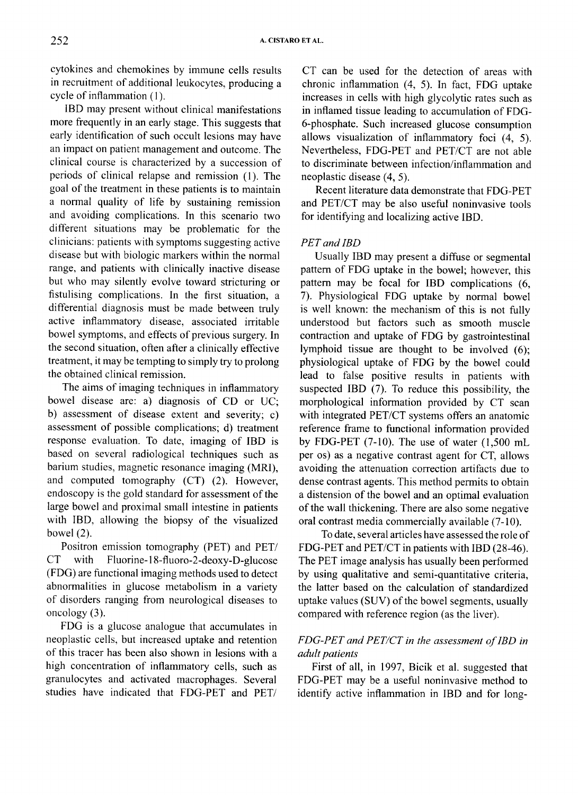cytokines and chemokines by immune cells results in recruitment of additional leukocytes, producing a cycle of inflammation (I).

lBD may present without clinical manifestations more frequently in an early stage. This suggests that early identification of such occult lesions may have an impact on patient management and outcome. The clinical course is characterized by a succession of periods of clinical relapse and remission (1). The goal of the treatment in these patients is to maintain a normal quality of life by sustaining remission and avoiding complications. In this scenario two different situations may be problematic for the clinicians: patients with symptoms suggesting active disease but with biologic markers within the normal range, and patients with clinically inactive disease but who may silently evolve toward stricturing or fistulising complications. In the first situation, a differential diagnosis must be made between truly active inflammatory disease, associated irritable bowel symptoms, and effects of previous surgery. In the second situation, often after a clinically effective treatment, it may be tempting to simply try to prolong the obtained clinical remission.

The aims of imaging techniques in inflammatory bowel disease are: a) diagnosis of CD or UC; b) assessment of disease extent and severity; c) assessment of possible complications; d) treatment response evaluation. To date, imaging of lBD is based on several radiological techniques such as barium studies, magnetic resonance imaging (MRI), and computed tomography (CT) (2). However, endoscopy is the gold standard for assessment of the large bowel and proximal small intestine in patients with lBO, allowing the biopsy of the visualized bowel (2).

Positron emission tomography (PET) and *PETI* CT with Fluorine-18-f1uoro-2-deoxy-D-glucose (FOG) are functional imaging methods used to detect abnormalities in glucose metabolism in a variety of disorders ranging from neurological diseases to oncology (3).

FOG is a glucose analogue that accumulates in neoplastic cells, but increased uptake and retention of this tracer has been also shown in lesions with a high concentration of inflammatory cells, such as granulocytes and activated macrophages. Several studies have indicated that FOG-PET and *PETI*

CT can be used for the detection of areas with chronic inflammation (4, 5). In fact, FOG uptake increases in cells with high glycolytic rates such as in inflamed tissue leading to accumulation of FDG-6-phosphate. Such increased glucose consumption allows visualization of inflammatory foci (4, 5). Nevertheless, FOG-PET and *PET/CT* are not able to discriminate between infection/inflammation and neoplastic disease (4, 5).

Recent literature data demonstrate that FOG-PET and *PET/CT* may be also useful noninvasive tools for identifying and localizing active lBD.

### *PET* and **IBD**

Usually lBD may present a diffuse or segmental pattern of FOG uptake in the bowel; however, this pattern may be focal for lBD complications (6, 7). Physiological FOG uptake by normal bowel is well known: the mechanism of this is not fully understood but factors such as smooth muscle contraction and uptake of FOG by gastrointestinal lymphoid tissue are thought to be involved (6); physiological uptake of FOG by the bowel could lead to false positive results in patients with suspected IBD (7). To reduce this possibility, the morphological information provided by CT scan with integrated *PET/CT* systems offers an anatomic reference frame to functional information provided by FDG-PET  $(7-10)$ . The use of water  $(1,500 \text{ mL})$ per os) as a negative contrast agent for CT, allows avoiding the attenuation correction artifacts due to dense contrast agents. This method permits to obtain a distension of the bowel and an optimal evaluation of the wall thickening. There are also some negative oral contrast media commercially available (7-10).

Todate, several articles have assessed the role of FOG-PET and *PET/CT* in patients with IBD (28-46). The PET image analysis has usually been performed by using qualitative and semi-quantitative criteria, the latter based on the calculation of standardized uptake values  $(SUV)$  of the bowel segments, usually compared with reference region (as the liver).

## *FDG-PET and PETICT in the assessment ofIBD in adult patients*

First of all, in 1997, Bicik et al. suggested that FOG-PET may be a useful noninvasive method to identify active inflammation in IBD and for long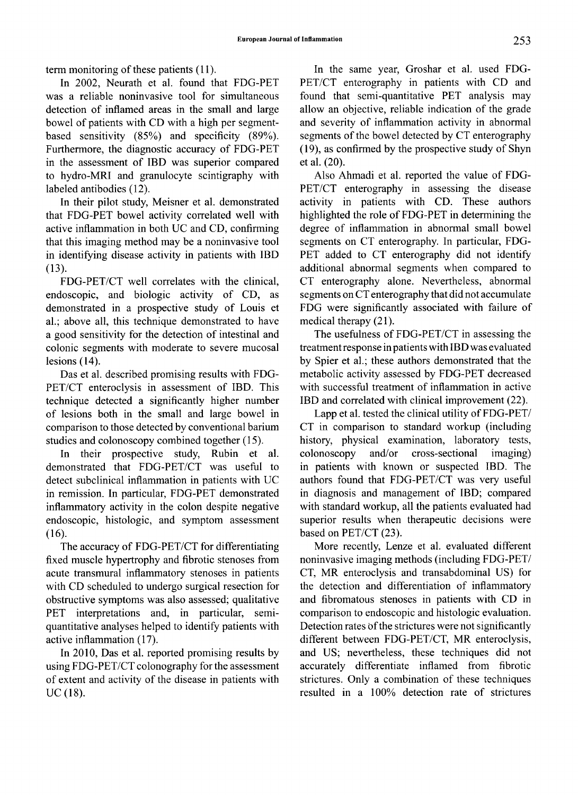term monitoring of these patients (11).

In 2002, Neurath et al. found that FDG-PET was a reliable noninvasive tool for simultaneous detection of inflamed areas in the small and large bowel of patients with CD with a high per segmentbased sensitivity (85%) and specificity (89%). Furthermore, the diagnostic accuracy of FDG-PET in the assessment of lED was superior compared to hydro-MRI and granulocyte scintigraphy with labeled antibodies (12).

In their pilot study, Meisner et al. demonstrated that FDG-PET bowel activity correlated well with active inflammation in both UC and CD, confirming that this imaging method may be a noninvasive tool in identifying disease activity in patients with lED (13).

FDG-PET/CT well correlates with the clinical, endoscopic, and biologic activity of CD, as demonstrated in a prospective study of Louis et al.; above all, this technique demonstrated to have a good sensitivity for the detection of intestinal and colonic segments with moderate to severe mucosal lesions (14).

Das et al. described promising results with FDG-PET/CT enteroclysis in assessment of IBD. This technique detected a significantly higher number of lesions both in the small and large bowel in comparison to those detected by conventional barium studies and colonoscopy combined together (15).

In their prospective study, Rubin et al. demonstrated that FDG-PET/CT was useful to detect subclinical inflammation in patients with UC in remission. In particular, FDG-PET demonstrated inflammatory activity in the colon despite negative endoscopic, histologic, and symptom assessment (16).

The accuracy of FDG-PET/CT for differentiating fixed muscle hypertrophy and fibrotic stenoses from acute transmural inflammatory stenoses in patients with CD scheduled to undergo surgical resection for obstructive symptoms was also assessed; qualitative PET interpretations and, in particular, semiquantitative analyses helped to identify patients with active inflammation (17).

In 2010, Das et al. reported promising results by using FDG-PET/CT colonography for the assessment of extent and activity of the disease in patients with UC (18).

In the same year, Groshar et al. used FDG-PET/CT enterography in patients with CD and found that semi-quantitative PET analysis may allow an objective, reliable indication of the grade and severity of inflammation activity in abnormal segments of the bowel detected by CT enterography (19), as confirmed by the prospective study of Shyn et al. (20).

Also Ahmadi et al. reported the value of FDG-PET/CT enterography in assessing the disease activity in patients with CD. These authors highlighted the role of FDG-PET in determining the degree of inflammation in abnormal small bowel segments on CT enterography. In particular, FDG-PET added to CT enterography did not identify additional abnormal segments when compared to CT enterography alone. Nevertheless, abnormal segments on CT enterography that did not accumulate FDG were significantly associated with failure of medical therapy (21).

The usefulness of FDG-PET/CT in assessing the treatmentresponse in patients with lED was evaluated by Spier et al.; these authors demonstrated that the metabolic activity assessed by FDG-PET decreased with successful treatment of inflammation in active lED and correlated with clinical improvement (22).

Lapp et al. tested the clinical utility of FDG-PET/ CT in comparison to standard workup (including history, physical examination, laboratory tests, colonoscopy and/or cross-sectional imaging) in patients with known or suspected IBD. The authors found that FDG-PET/CT was very useful in diagnosis and management of lED; compared with standard workup, all the patients evaluated had superior results when therapeutic decisions were based on PET/CT (23).

More recently, Lenze et al. evaluated different noninvasive imaging methods (including FDG-PET/ CT, MR enteroclysis and transabdominal US) for the detection and differentiation of inflammatory and fibromatous stenoses in patients with CD in comparison to endoscopic and histologic evaluation. Detection rates of the strictures were not significantly different between FDG-PET/CT, MR enteroclysis, and US; nevertheless, these techniques did not accurately differentiate inflamed from fibrotic strictures. Only a combination of these techniques resulted in a 100% detection rate of strictures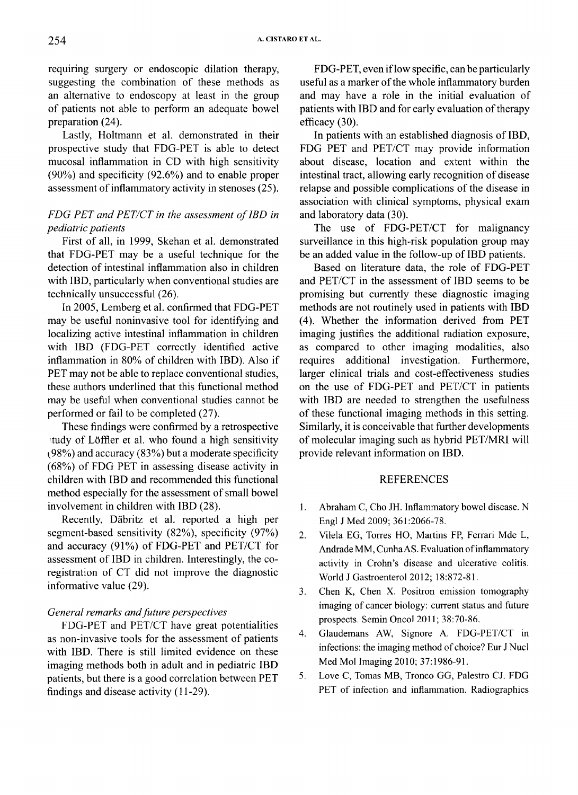requiring surgery or endoscopic dilation therapy, suggesting the combination of these methods as an alternative to endoscopy at least in the group of patients not able to perform an adequate bowel preparation (24).

Lastly, Holtmann et al. demonstrated in their prospective study that FOG-PET is able to detect mucosal inflammation in CD with high sensitivity (90%) and specificity (92.6%) and to enable proper assessment of inflammatory activity in stenoses (25).

## *FDG PET and PETICT in the assessment oflBD in pediatric patients*

First of all, in 1999, Skehan et al. demonstrated that FOG-PET may be a useful technique for the detection of intestinal inflammation also in children with lBO, particularly when conventional studies are technically unsuccessful (26).

**In**2005, Lemberg et al. confirmed that FOG-PET may be useful noninvasive tool for identifying and localizing active intestinal inflammation in children with IBO (FOG-PET correctly identified active inflammation in 80% of children with IBO). Also if PET may not be able to replace conventional studies, these authors underlined that this functional method may be useful when conventional studies cannot be performed or fail to be completed (27).

These findings were confirmed by a retrospective tudy of Löffler et al. who found a high sensitivity  $(98%)$  and accuracy  $(83%)$  but a moderate specificity (68%) of FOG PET in assessing disease activity in children with IBO and recommended this functional method especially for the assessment of small bowel involvement in children with IBO (28).

Recently, Dabritz et al. reported a high per segment-based sensitivity (82%), specificity (97%) and accuracy (91%) of FOG-PET and *PET/CT* for assessment of IBO in children. Interestingly, the coregistration of CT did not improve the diagnostic informative value (29).

#### *General remarks andfuture perspectives*

FOG-PET and *PET/CT* have great potentialities as non-invasive tools for the assessment of patients with IBO. There is still limited evidence on these imaging methods both in adult and in pediatric IBO patients, but there is a good correlation between PET findings and disease activity (11-29).

FOG-PET, even iflow specific, can be particularly useful as a marker of the whole inflammatory burden and may have a role in the initial evaluation of patients with IBD and for early evaluation of therapy efficacy (30).

**In** patients with an established diagnosis of lBO, FOG PET and *PET/CT* may provide information about disease, location and extent within the intestinal tract, allowing early recognition of disease relapse and possible complications of the disease in association with clinical symptoms, physical exam and laboratory data (30).

The use of *FOG-PET/CT* for malignancy surveillance in this high-risk population group may be an added value in the follow-up of IBO patients.

Based on literature data, the role of FOG-PET and *PET/CT* in the assessment of IBO seems to be promising but currently these diagnostic imaging methods are not routinely used in patients with IBO (4). Whether the information derived from PET imaging justifies the additional radiation exposure, as compared to other imaging modalities, also requires additional investigation. Furthermore, larger clinical trials and cost-effectiveness studies on the use of FOG-PET and *PET/CT* in patients with IBO are needed to strengthen the usefulness of these functional imaging methods in this setting. Similarly, it is conceivable that further developments of molecular imaging such as hybrid *PET/MRI* will provide relevant information on IBO.

#### REFERENCES

- I. Abraham C, Cho JH. Inflammatory bowel disease. N Engl J Med 2009; 361:2066-78.
- 2. Vilela EG, Torres HO, Martins FP, Ferrari Mde L, Andrade MM, Cunha AS. Evaluation of inflammatory activity in Crohn's disease and ulcerative colitis. World J Gastroenterol 2012; 18:872-81.
- 3. Chen K, Chen X. Positron emission tomography imaging of cancer biology: current status and future prospects. Semin Onco12011; 38:70-86.
- 4. Glaudemans AW, Signore A. FDG-PET/CT in infections: the imaging method of choice? Eur J Nucl Med Mol Imaging 2010; 37:1986-91.
- 5. Love C, Tomas MB, Tronco GG, Palestro CJ. FDG PET of infection and inflammation. Radiographics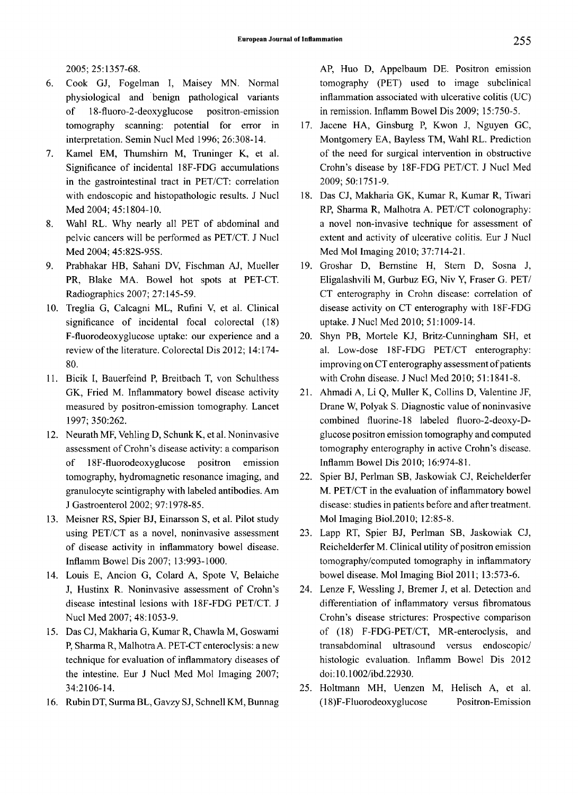2005; 25:1357-68.

- 6. Cook GJ, Fogelman I, Maisey MN. Normal physiological and benign pathological variants of 18-fluoro-2-deoxyglucose positron-emission tomography scanning: potential for error in interpretation. Semin Nucl Med 1996; 26:308-14.
- 7. Kamel EM, Thumshim M, Truninger K, et al. Significance of incidental 18F-FDG accumulations in the gastrointestinal tract in PET/CT: correlation with endoscopic and histopathologic results. J Nucl Med 2004; 45:1804-10.
- 8. Wahl RL. Why nearly all PET of abdominal and pelvic cancers will be performed as PET/CT. J Nucl Med 2004; 45:82S-95S.
- 9. Prabhakar HB, Sahani DV, Fischman AJ, Mueller PR, Blake MA. Bowel hot spots at PET-CT. Radiographies 2007; 27:145-59.
- 10. Treglia G, Calcagni ML, Rufini V, et al. Clinical significance of incidental focal colorectal (18) F-fluorodeoxyglucose uptake: our experience and a review of the literature. Colorectal Dis 2012; 14:174-80.
- 11. Bicik I, Bauerfeind P, Breitbach T, von Schulthess GK, Fried M. Inflammatory bowel disease activity measured by positron-emission tomography. Lancet 1997; 350:262.
- 12. Neurath MF, Vehling D, Schunk K, et al. Noninvasive assessment of Crohn's disease activity: a comparison of 18F-fluorodeoxyglucose positron emission tomography, hydromagnetic resonance imaging, and granulocyte scintigraphy with labeled antibodies. Am J Gastroenterol2002; 97:1978-85.
- 13. Meisner RS, Spier BJ, Einarsson S, et al. Pilot study using PET/CT as a novel, noninvasive assessment of disease activity in inflammatory bowel disease. Inflamm Bowel Dis 2007; 13:993-1000.
- 14. Louis E, Ancion G, Colard A, Spote V, Belaiche J, Hustinx R. Noninvasive assessment of Crohn's disease intestinal lesions with 18F-FDG PET/CT. J Nucl Med 2007; 48:1053-9.
- 15. Das CJ, Makharia G, Kumar R, Chawla M, Goswami P, Sharma R, MalhotraA. PET-CT enteroclysis: a new technique for evaluation of inflammatory diseases of the intestine. Eur J Nucl Med Mol Imaging 2007; 34:2106-14.
- 16. Rubin DT, Surma BL, Gavzy SJ, Schnell KM, Bunnag

AP, Huo D, Appelbaum DE. Positron emission tomography (PET) used to image subclinical inflammation associated with ulcerative colitis (UC) in remission. Inflamm Bowel Dis 2009; 15:750-5.

- 17. Jacene HA, Ginsburg P, Kwon J, Nguyen GC, Montgomery EA, Bayless TM, Wahl RL. Prediction of the need for surgical intervention in obstructive Crohn's disease by 18F-FDG PET/CT. J Nucl Med 2009; 50:1751-9.
- 18. Das CJ, Makharia GK, Kumar R, Kumar R, Tiwari RP, Sharma R, Malhotra A. PET/CT colonography: a novel non-invasive technique for assessment of extent and activity of ulcerative colitis. Eur J Nucl Med Mol Imaging 2010; 37:714-21.
- 19. Groshar D, Bemstine H, Stem D, Sosna J, Eligalashvili M, Gurbuz EG, Niv Y, Fraser G. PET/ CT enterography in Crohn disease: correlation of disease activity on CT enterography with 18F-FDG uptake. J Nucl Med 2010; 51: 1009-14.
- 20. Shyn PB, Mortele KJ, Britz-Cunningham SH, et al. Low-dose 18F-FDG PET/CT enterography: improving on CT enterography assessment of patients with Crohn disease. J Nucl Med 2010; 51:1841-8.
- 21. Ahmadi A, Li Q, Muller K, Collins D, Valentine JF, Drane W, Polyak S. Diagnostic value of noninvasive combined fluorine-18 labeled fluoro-2-deoxy-Dglucose positron emission tomography and computed tomography enterography in active Crohn's disease. Inflamm Bowel Dis 2010; 16:974-81.
- 22. Spier BJ, Perlman SB, Jaskowiak CJ, Reichelderfer M. PET/CT in the evaluation of inflammatory bowel disease: studies in patients before and after treatment. Mol Imaging Bio1.201O; 12:85-8.
- 23. Lapp RT, Spier BJ, Perlman SB, Jaskowiak CJ, Reichelderfer M. Clinical utility of positron emission tomography/computed tomography in inflammatory bowel disease. Mol Imaging Bioi 2011; 13:573-6.
- 24. Lenze F, Wessling J, Bremer J, et al. Detection and differentiation of inflammatory versus fibromatous Crohn's disease strictures: Prospective comparison of (18) F-FDG-PET/CT, MR-enteroclysis, and transabdominal ultrasound versus endoscopic/ histologic evaluation. Inflamm Bowel Dis 2012 doi: 10.1002/ibd.22930.
- 25. Holtmann MH, Uenzen M, Helisch A, et al. (18)F -Fluorodeoxyglucose Positron-Emission